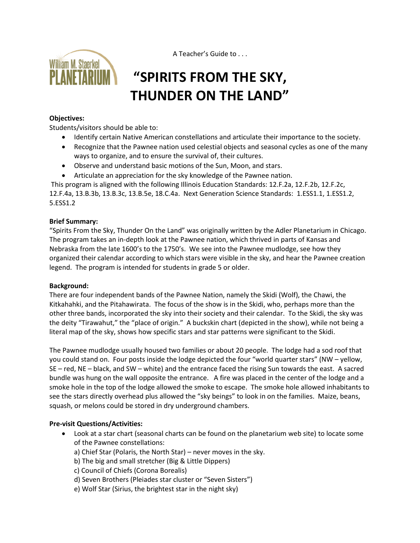A Teacher's Guide to . . .



# **"SPIRITS FROM THE SKY, THUNDER ON THE LAND"**

## **Objectives:**

Students/visitors should be able to:

- Identify certain Native American constellations and articulate their importance to the society.
- Recognize that the Pawnee nation used celestial objects and seasonal cycles as one of the many ways to organize, and to ensure the survival of, their cultures.
- Observe and understand basic motions of the Sun, Moon, and stars.
- Articulate an appreciation for the sky knowledge of the Pawnee nation.

This program is aligned with the following Illinois Education Standards: 12.F.2a, 12.F.2b, 12.F.2c, 12.F.4a, 13.B.3b, 13.B.3c, 13.B.5e, 18.C.4a. Next Generation Science Standards: 1.ESS1.1, 1.ESS1.2, 5.ESS1.2

### **Brief Summary:**

"Spirits From the Sky, Thunder On the Land" was originally written by the Adler Planetarium in Chicago. The program takes an in-depth look at the Pawnee nation, which thrived in parts of Kansas and Nebraska from the late 1600's to the 1750's. We see into the Pawnee mudlodge, see how they organized their calendar according to which stars were visible in the sky, and hear the Pawnee creation legend. The program is intended for students in grade 5 or older.

#### **Background:**

There are four independent bands of the Pawnee Nation, namely the Skidi (Wolf), the Chawi, the Kitkahahki, and the Pitahawirata. The focus of the show is in the Skidi, who, perhaps more than the other three bands, incorporated the sky into their society and their calendar. To the Skidi, the sky was the deity "Tirawahut," the "place of origin." A buckskin chart (depicted in the show), while not being a literal map of the sky, shows how specific stars and star patterns were significant to the Skidi.

The Pawnee mudlodge usually housed two families or about 20 people. The lodge had a sod roof that you could stand on. Four posts inside the lodge depicted the four "world quarter stars" (NW – yellow, SE – red, NE – black, and SW – white) and the entrance faced the rising Sun towards the east. A sacred bundle was hung on the wall opposite the entrance. A fire was placed in the center of the lodge and a smoke hole in the top of the lodge allowed the smoke to escape. The smoke hole allowed inhabitants to see the stars directly overhead plus allowed the "sky beings" to look in on the families. Maize, beans, squash, or melons could be stored in dry underground chambers.

## **Pre-visit Questions/Activities:**

- Look at a star chart (seasonal charts can be found on the planetarium web site) to locate some of the Pawnee constellations:
	- a) Chief Star (Polaris, the North Star) never moves in the sky.
	- b) The big and small stretcher (Big & Little Dippers)
	- c) Council of Chiefs (Corona Borealis)
	- d) Seven Brothers (Pleiades star cluster or "Seven Sisters")
	- e) Wolf Star (Sirius, the brightest star in the night sky)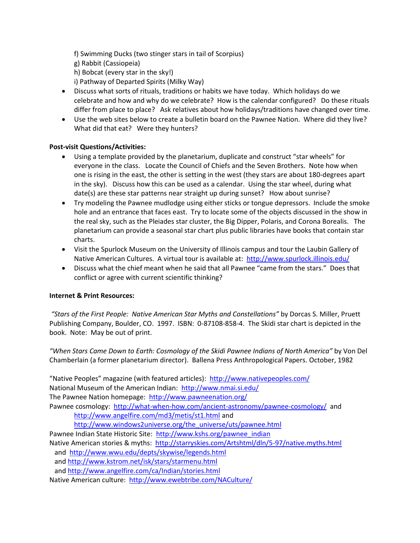f) Swimming Ducks (two stinger stars in tail of Scorpius) g) Rabbit (Cassiopeia) h) Bobcat (every star in the sky!) i) Pathway of Departed Spirits (Milky Way)

- Discuss what sorts of rituals, traditions or habits we have today. Which holidays do we celebrate and how and why do we celebrate? How is the calendar configured? Do these rituals differ from place to place? Ask relatives about how holidays/traditions have changed over time.
- Use the web sites below to create a bulletin board on the Pawnee Nation. Where did they live? What did that eat? Were they hunters?

## **Post-visit Questions/Activities:**

- Using a template provided by the planetarium, duplicate and construct "star wheels" for everyone in the class. Locate the Council of Chiefs and the Seven Brothers. Note how when one is rising in the east, the other is setting in the west (they stars are about 180-degrees apart in the sky). Discuss how this can be used as a calendar. Using the star wheel, during what date(s) are these star patterns near straight up during sunset? How about sunrise?
- Try modeling the Pawnee mudlodge using either sticks or tongue depressors. Include the smoke hole and an entrance that faces east. Try to locate some of the objects discussed in the show in the real sky, such as the Pleiades star cluster, the Big Dipper, Polaris, and Corona Borealis. The planetarium can provide a seasonal star chart plus public libraries have books that contain star charts.
- Visit the Spurlock Museum on the University of Illinois campus and tour the Laubin Gallery of Native American Cultures. A virtual tour is available at: http://www.spurlock.illinois.edu/
- Discuss what the chief meant when he said that all Pawnee "came from the stars." Does that conflict or agree with current scientific thinking?

## **Internet & Print Resources:**

*"Stars of the First People: Native American Star Myths and Constellations"* by Dorcas S. Miller, Pruett Publishing Company, Boulder, CO. 1997. ISBN: 0-87108-858-4. The Skidi star chart is depicted in the book. Note: May be out of print.

*"When Stars Came Down to Earth: Cosmology of the Skidi Pawnee Indians of North America"* by Von Del Chamberlain (a former planetarium director). Ballena Press Anthropological Papers. October, 1982

"Native Peoples" magazine (with featured articles): http://www.nativepeoples.com/ National Museum of the American Indian: http://www.nmai.si.edu/ The Pawnee Nation homepage: http://www.pawneenation.org/ Pawnee cosmology: http://what-when-how.com/ancient-astronomy/pawnee-cosmology/ and http://www.angelfire.com/md3/metis/st1.html and http://www.windows2universe.org/the\_universe/uts/pawnee.html Pawnee Indian State Historic Site: http://www.kshs.org/pawnee\_indian Native American stories & myths: http://starryskies.com/Artshtml/dln/5-97/native.myths.html and http://www.wwu.edu/depts/skywise/legends.html and http://www.kstrom.net/isk/stars/starmenu.html and http://www.angelfire.com/ca/Indian/stories.html Native American culture: http://www.ewebtribe.com/NACulture/